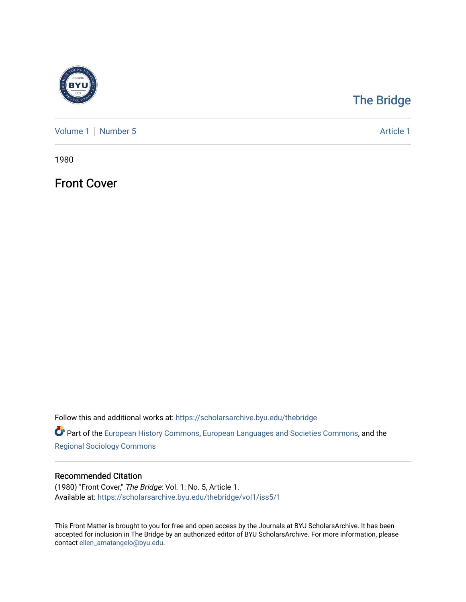

## [The Bridge](https://scholarsarchive.byu.edu/thebridge)

[Volume 1](https://scholarsarchive.byu.edu/thebridge/vol1) | [Number 5](https://scholarsarchive.byu.edu/thebridge/vol1/iss5) Article 1

1980

Front Cover

Follow this and additional works at: [https://scholarsarchive.byu.edu/thebridge](https://scholarsarchive.byu.edu/thebridge?utm_source=scholarsarchive.byu.edu%2Fthebridge%2Fvol1%2Fiss5%2F1&utm_medium=PDF&utm_campaign=PDFCoverPages) 

**Part of the [European History Commons](http://network.bepress.com/hgg/discipline/492?utm_source=scholarsarchive.byu.edu%2Fthebridge%2Fvol1%2Fiss5%2F1&utm_medium=PDF&utm_campaign=PDFCoverPages), [European Languages and Societies Commons,](http://network.bepress.com/hgg/discipline/482?utm_source=scholarsarchive.byu.edu%2Fthebridge%2Fvol1%2Fiss5%2F1&utm_medium=PDF&utm_campaign=PDFCoverPages) and the** [Regional Sociology Commons](http://network.bepress.com/hgg/discipline/427?utm_source=scholarsarchive.byu.edu%2Fthebridge%2Fvol1%2Fiss5%2F1&utm_medium=PDF&utm_campaign=PDFCoverPages) 

## Recommended Citation

(1980) "Front Cover," The Bridge: Vol. 1: No. 5, Article 1. Available at: [https://scholarsarchive.byu.edu/thebridge/vol1/iss5/1](https://scholarsarchive.byu.edu/thebridge/vol1/iss5/1?utm_source=scholarsarchive.byu.edu%2Fthebridge%2Fvol1%2Fiss5%2F1&utm_medium=PDF&utm_campaign=PDFCoverPages)

This Front Matter is brought to you for free and open access by the Journals at BYU ScholarsArchive. It has been accepted for inclusion in The Bridge by an authorized editor of BYU ScholarsArchive. For more information, please contact [ellen\\_amatangelo@byu.edu.](mailto:ellen_amatangelo@byu.edu)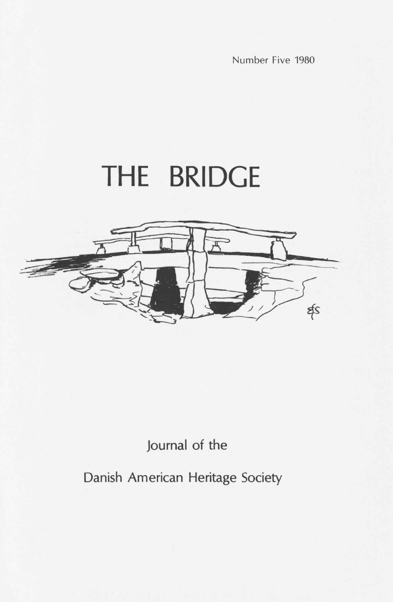Number Five 1980

## **THE BRIDGE**



## Journal of the

Danish American Heritage Society